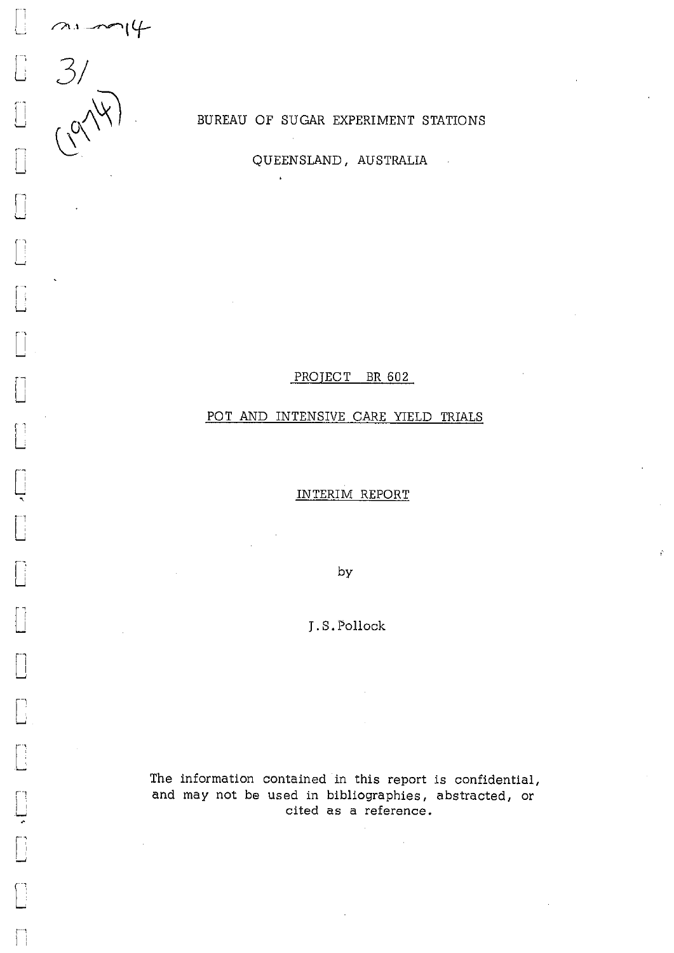

 $\mathbf{E}$ 

BUREAU OF SUGAR EXPERIMENT STATIONS

QUEENSLAND, AUSTRALIA

 $\mathcal{L}$ 

PROJECT BR 602

## POT AND INTENSIVE CARE YIELD TRIALS

## INTERIM REPORT

by

J.S.Pollock

The information contained in this report is confidential, and may not be used in bibliographies, abstracted, or cited as a reference.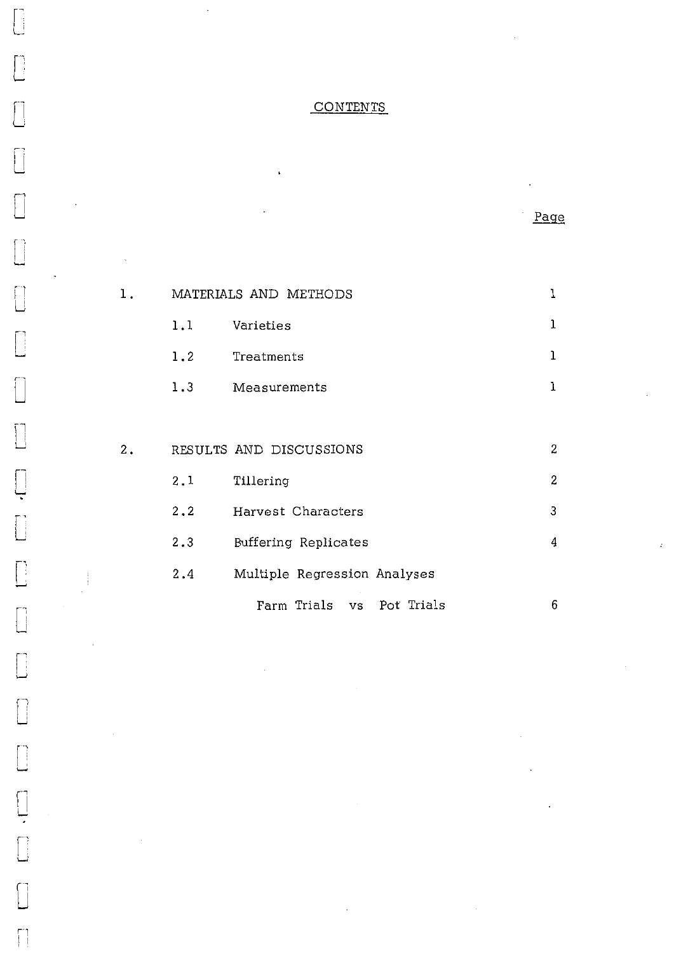# CONTENTS

Page.

1

 $\mathcal{I}$ 

|    | 1.1 | Varieties               | 1 |
|----|-----|-------------------------|---|
|    | 1.2 | Treatments              | ı |
|    | 1.3 | Measurements            | 1 |
|    |     |                         |   |
| 2. |     | RESULTS AND DISCUSSIONS | 2 |
|    | 2.1 | Tillering               | 2 |
|    | 2.2 | Harvest Characters      | 3 |
|    | 2.3 | Buffering Replicates    | 4 |
|    |     |                         |   |

1. MATERIALS AND METHODS

ii

 $\begin{bmatrix} 1 \\ 1 \\ 1 \end{bmatrix}$ 

 $\begin{bmatrix} 1 \\ 1 \\ 1 \end{bmatrix}$ 

 $\begin{bmatrix} 1 \\ 1 \end{bmatrix}$ 

 $\begin{bmatrix} 1 \\ 1 \end{bmatrix}$ 

 $\begin{bmatrix} 1 & 0 \\ 0 & 1 \end{bmatrix}$ 

 $\sqrt{\phantom{a}}$ 

 $\begin{bmatrix} \phantom{-} \\ \phantom{-} \end{bmatrix}$ 

 $\begin{bmatrix} 1 \\ 1 \\ 1 \end{bmatrix}$ 

 $\begin{bmatrix} 1 \\ 1 \end{bmatrix}$ 

 $\sqrt{2}$ 

 $\begin{bmatrix} 1 & 1 \\ 1 & 1 \end{bmatrix}$ 

 $\Box$ 

 $\begin{bmatrix} 1 \\ 1 \end{bmatrix}$ 

 $\begin{bmatrix} 1 \\ 1 \end{bmatrix}$ 

 $\begin{bmatrix} 1 & 1 \\ 1 & 1 \end{bmatrix}$ 

 $\begin{bmatrix} 1 \\ 1 \end{bmatrix}$ 

 $\begin{array}{c} \square \\ \square \end{array}$ 

 $\begin{bmatrix} 1 \\ 1 \end{bmatrix}$ 

2.4 Multiple Regression Analyses Farm Trials vs Pot Trials 6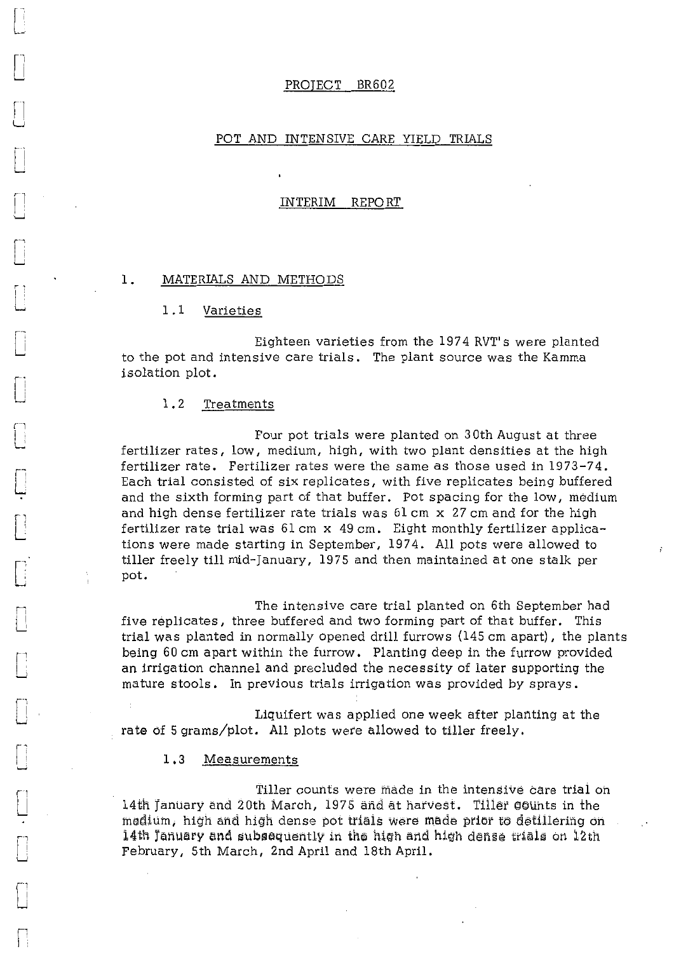#### PROJECT BR602

#### POT AND INTENSIVE CARE YIELD TRIALS

#### INTERIM REPORT

#### 1. MATERIALS AND METHODS

1.1 Varieties

Eighteen varieties from the 1974 RVT's were planted to the pot and intensive care trials. The plant source was the Kamma isolation plot.

1.2 Treatments

 $\Box$ 

L.

L

r U

Four pot trials were planted on 30th August at three fertilizer rates, low, medium, high, with two plant densities at the high fertilizer rate. Fertilizer rates were the same as those used in 1973-74. Each trial consisted of six replicates, with five replicates being buffered and the sixth forming part of that buffer. Pot spacing for the low, medium and high dense fertilizer rate trials was 61 cm x 27 cm and for the high fertilizer rate trial was 61 cm x 49 cm. Eight monthly fertilizer applications were made starting in September, 1974. All pots were allowed to tiller freely till mid-January, 1975 and then maintained at one stalk per pot.

The intensive care trial planted on 6th September had five replicates, three buffered and two forming part of that buffer. This trial was planted in normally opened drill furrows (145 cm apart), the plants being 60 cm apart within the furrow. Planting deep in the furrow provided an irrigation channel and precluded the necessity of later supporting the mature stools. In previous trials irrigation was provided by sprays.

Liquifert was applied one week after planting at the rate of 5 grams/plot. All plots were allowed to tiller freely.

## 1.3 Measurements

14th January and 20th March, 1975 and at harvest. Tiller counts in the land to a state of the state of the state of the state of the state of the state of the state of the state of the state of the state of the state of th Tiller counts were made in the intensive care trial on modium, high and high dense pot trials were made prior to detillering on 14th January and subsequently in the high and high dense trials on 12th February, 5th March, 2nd April and 18th April.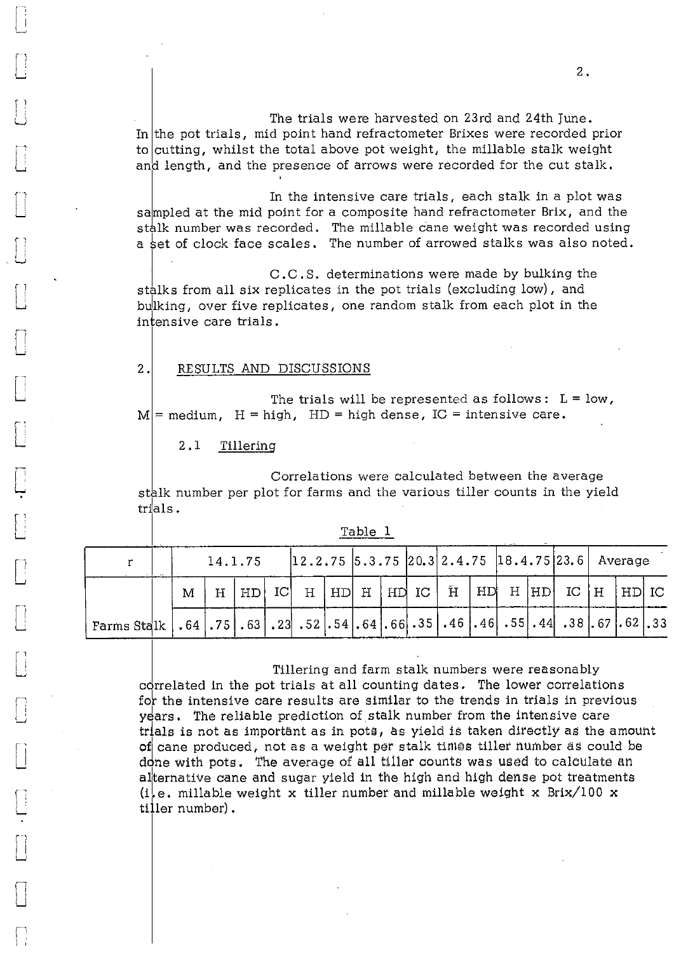The trials were harvested on 23rd and 24th June. In the pot trials, mid point hand refractometer Brixes were recorded prior to cutting, whilst the total above pot weight, the millable stalk weight and length, and the presence of arrows were recorded for the cut stalk.

In the intensive care trials, each stalk in a plot was sampled at the mid point for a composite hand refractometer Brix, and the stalk number was recorded. The millable cane weight was recorded using a set of clock face scales. The number of arrowed stalks was also noted.

C.C.S. determinations were made by bulking the stalks from all six replicates in the pot trials (excluding low), and bulking, over five replicates, one random stalk from each plot in the intensive care trials.

#### RESULTS AND DISCUSSIONS 2.

The trials will be represented as follows:  $L = low$ ,  $\mathbf{M}$  = medium,  $\mathbf{H}$  = high,  $\mathbf{H}$  = high dense, IC = intensive care.

2.1 Tillering

1

L.

 $\Box$ 

Correlations were calculated between the average stalk number per plot for farms and the various tiller counts in the yield trials.

| T. | able |  |
|----|------|--|
|    |      |  |

|                                                                                                                                                                                        |   | 14.1.75 |            |  |  |  |  |  | $ 12.2.75 5.3.75 20.3 2.4.75 18.4.75 23.6 $ Average |  |  |
|----------------------------------------------------------------------------------------------------------------------------------------------------------------------------------------|---|---------|------------|--|--|--|--|--|-----------------------------------------------------|--|--|
|                                                                                                                                                                                        | M |         | $H$   $HD$ |  |  |  |  |  | IC H $ HD H HDIC H HD H HD IC H HD IC$              |  |  |
| Farms Stalk   .64 $\mid$ .75 $\mid$ .63 $\mid$ .23 $\mid$ .52 $\mid$ .54 $\mid$ .66 $\mid$ .35 $\mid$ .46 $\mid$ .46 $\mid$ .55 $\mid$ .44 $\mid$ .38 $\mid$ .67 $\mid$ .62 $\mid$ .33 |   |         |            |  |  |  |  |  |                                                     |  |  |

Tillering and farm stalk numbers were reasonably correlated in the pot trials at all counting dates. The lower correlations for the intensive care results are similar to the trends in trials in previous years. The reliable prediction of stalk number from the intensive care trials is not as important as in pots, as yield is taken directly as the amount of cane produced, not as a weight per stalk times tiller number as could be done with pots. The average of all tiller counts was used to calculate an alternative cane and sugar yield in the high and high dense pot treatments (i.e. millable weight x tiller number and millable weight x Brix/100 x tiller number).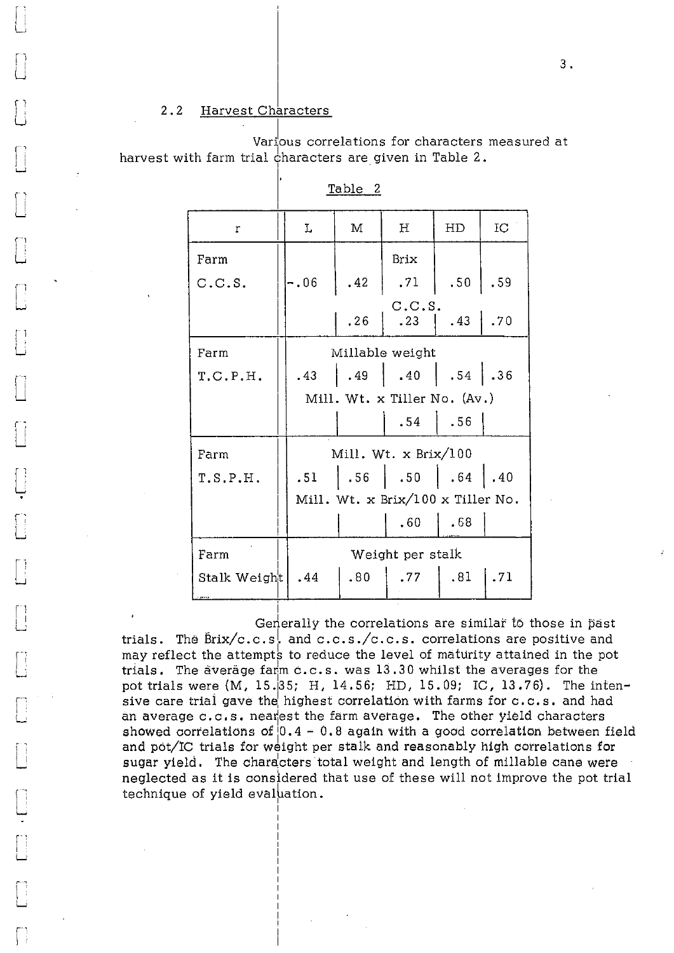## 2.2 Harvest Characters

Li

L

L.;

Various correlations for characters measured at harvest with farm trial characters are given in Table 2.

| r            | Ĩ,               | M   | Н                                         | HD               | IC  |
|--------------|------------------|-----|-------------------------------------------|------------------|-----|
| Farm         |                  |     | <b>Brix</b>                               |                  |     |
| C.C.S.       | $-.06$           | .42 | .71                                       | .50 <sub>1</sub> | .59 |
|              |                  | .26 | C.C.S.<br>.23                             | .43              | .70 |
| Farm         |                  |     | Millable weight                           |                  |     |
| T.C.P.H.     | .43              |     | .49   .40   .54                           |                  | .36 |
|              |                  |     | Mill. Wt. x Tiller No. (Av.)              |                  |     |
|              |                  |     | .54                                       | .56              |     |
| Farm         |                  |     | Mill. Wt. $x \text{ Brix}/100$            |                  |     |
| T.S.P.H.     | .51              |     | $\vert .56 \vert .50 \vert .64 \vert .40$ |                  |     |
|              |                  |     | Mill. Wt. x Brix/100 x Tiller No.         |                  |     |
|              |                  |     | .60                                       | .68              |     |
| Farm         | Weight per stalk |     |                                           |                  |     |
| Stalk Weight | .44              | .80 | .77                                       | .81              | .71 |

Table 2

Generally the correlations are similar to those in past trials. The  $\overline{Brix}/c.c.s.$  and  $c.c.s./c.c.s.$  correlations are positive and may reflect the attempts to reduce the level of maturity attained in the pot trials. The average farm c.c.s. was 13.30 whilst the averages for the pot trials were (M, 15.35; H, 14.56; HD, 15.09; IC, 13.76). The intensive care trial gave the highest correlation with farms for  $c.c.s.$  and had an average c.c.s. neatest the farm average. The other yield characters showed correlations of  $0.4 - 0.8$  again with a good correlation between field and pot/IC trials for weight per stalk and reasonably high correlations for sugar yield. The characters total weight and length of millable cane were neglected as it is considered that use of these will not improve the pot trial technique of yield evaluation.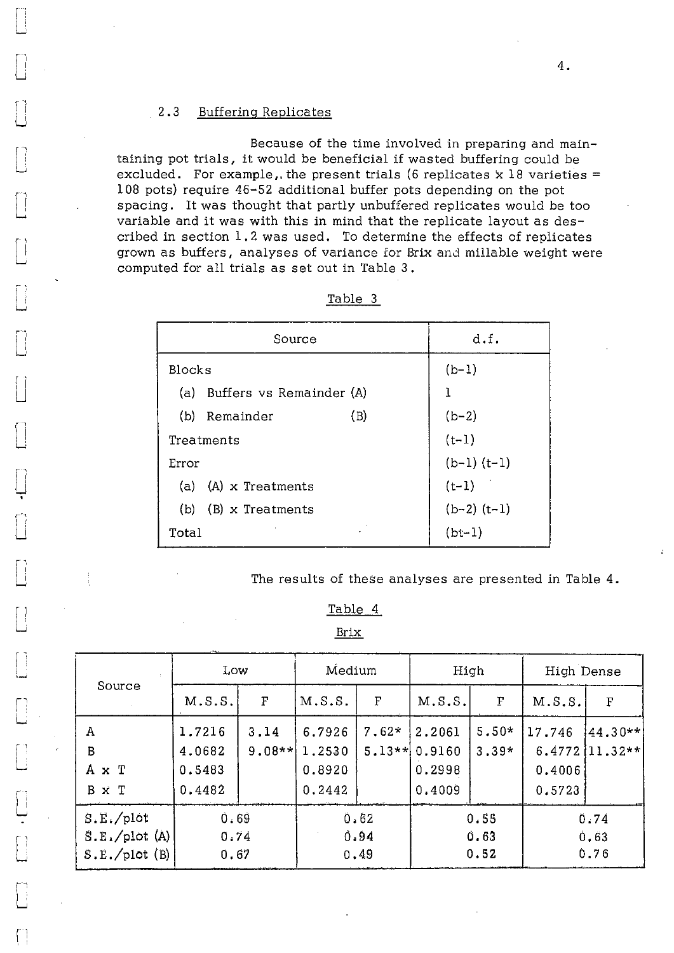### 2.3 Buffering Replicates

Li

r -

 $\vert \ \vert$  $\sqcup$ 

Li

U

 $\lceil$ 

Because of the time involved in preparing and maintaining pot trials, it would be beneficial if wasted buffering could be excluded. For example, the present trials (6 replicates  $x$  18 varieties = 108 pots) require 46-52 additional buffer pots depending on the pot spacing. It was thought that partly unbuffered replicates would be too variable and it was with this in mind that the replicate layout as described in section 1.2 was used. To determine the effects of replicates grown as buffers, analyses of variance for Brix and millable weight were computed for all trials as set out in Table 3.

| Source                       | d.f.            |
|------------------------------|-----------------|
| <b>Blocks</b>                | $(b-1)$         |
| (a) Buffers vs Remainder (A) | ı               |
| (B)<br>(b)<br>Remainder      | $(b-2)$         |
| Treatments                   | $(t-1)$         |
| Error                        | $(b-1)$ $(t-1)$ |
| (a) $(A)$ x Treatments       | $(t-1)$         |
| $(b)$ (B) x Treatments       | $(b-2)$ $(t-1)$ |
| Total                        | $(bt-1)$        |

| abr<br>⋍ |  |
|----------|--|
|          |  |

The results of these analyses are presented in Table 4.

Table 4

Brix

|                                           | Low                                  |                  | Medium                               |                     | High                                 |                    | High Dense                           |                             |
|-------------------------------------------|--------------------------------------|------------------|--------------------------------------|---------------------|--------------------------------------|--------------------|--------------------------------------|-----------------------------|
| Source                                    | M.S.S.                               | $\mathbf{F}$     | M.S.S.                               | F                   | M.S.S.                               | $\mathbf{F}% _{0}$ | M.S.S.                               | F                           |
| А<br>$\sf B$<br>A x T<br>B x T            | 1.7216<br>4.0682<br>0.5483<br>0.4482 | 3.14<br>$9.08**$ | 6.7926<br>1.2530<br>0.8920<br>0.2442 | $7.62*$<br>$5.13**$ | 2.2061<br>0.9160<br>0.2998<br>0.4009 | $5.50*$<br>$3.39*$ | 17.746<br>6.4772<br>0.4006<br>0.5723 | $[44.30**]$<br>$[11, 32**]$ |
| S.E./plot<br>S.E./plot(A)<br>S.E./plot(B) | 0.69<br>0.74<br>0.67                 |                  | 0.62<br>0.94<br>0.49                 |                     | 0.55<br>0.63<br>0.52                 |                    |                                      | 0.74<br>0.63<br>0.76        |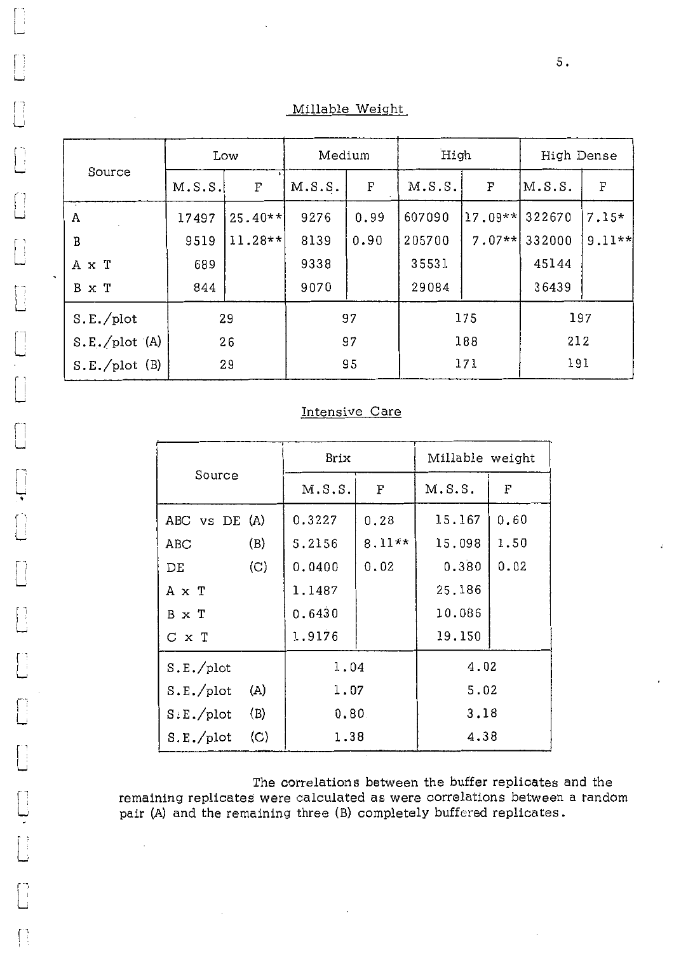Millable Weight

|               |        | Low         | Medium |             | High   |           | High Dense |                           |  |
|---------------|--------|-------------|--------|-------------|--------|-----------|------------|---------------------------|--|
| Source        | M.S.S. | $\mathbf F$ | M.S.S. | $\mathbf F$ | M.S.S. | F         | M.S.S.     | $\boldsymbol{\mathrm{F}}$ |  |
| Α             | 17497  | $25.40**$   | 9276   | 0.99        | 607090 | $17.09**$ | 322670     | 7.15*                     |  |
| B             | 9519   | $11.28**$   | 8139   | 0.90        | 205700 | $7.07**$  | 332000     | $9.11**$                  |  |
| A x T         | 689    |             | 9338   |             | 35531  |           | 45144      |                           |  |
| B x T         | 844    |             | 9070   |             | 29084  |           | 36439      |                           |  |
| S.E./plot     | 29     |             | 97     |             | 175    |           | 197        |                           |  |
| S.E./plot (A) | 26     |             | 97     |             | 188    |           | 212        |                           |  |
| S.E./plot(B)  |        | 29          |        | 95          |        | 171       |            | 191                       |  |

 $\begin{bmatrix} 1 \\ 2 \end{bmatrix}$ 

 $\begin{bmatrix} 1 \\ 2 \end{bmatrix}$ 

 $\begin{bmatrix} 1 \\ 1 \end{bmatrix}$ 

 $\begin{bmatrix} 1 \\ 1 \end{bmatrix}$ 

 $\begin{bmatrix} 1 \\ 1 \end{bmatrix}$ 

 $\begin{bmatrix} 1 \\ 1 \end{bmatrix}$ 

 $\begin{array}{c} \square \cdot \square \end{array}$ 

 $\begin{bmatrix} 1 \\ 2 \end{bmatrix}$ 

 $\begin{bmatrix} 1 \\ 1 \end{bmatrix}$ 

 $\begin{bmatrix} 1 \\ 1 \end{bmatrix}$ 

 $\bigcap$ 

## Intensive Care

|                  | Brix   |          | Millable weight |      |  |
|------------------|--------|----------|-----------------|------|--|
| Source           | M.S.S. | F        | M.S.S.          | F    |  |
| ABC vs DE (A)    | 0.3227 | 0.28     | 15.167          | 0.60 |  |
| (B)<br>ABC       | 5.2156 | $8.11**$ | 15.098          | 1.50 |  |
| (C)<br>DE        | 0.0400 | 0.02     | 0.380           | 0.02 |  |
| A x T            | 1.1487 |          | 25.186          |      |  |
| B x T            | 0.6430 |          | 10.086          |      |  |
| C x T            | 1.9176 |          | 19.150          |      |  |
| S.E./plot        | 1.04   |          | 4.02            |      |  |
| S.E./plot<br>(A) | 1.07   |          | 5.02            |      |  |
| S.E./plot<br>(B) | 0.80   |          | 3.18            |      |  |
| (C)<br>S.E./plot | 1.38   |          | 4.38            |      |  |

The correlations between the buffer replicates and the remaining replicates were calculated as were correlations between a random pair (A) and the remaining three (B) completely buffered replicates.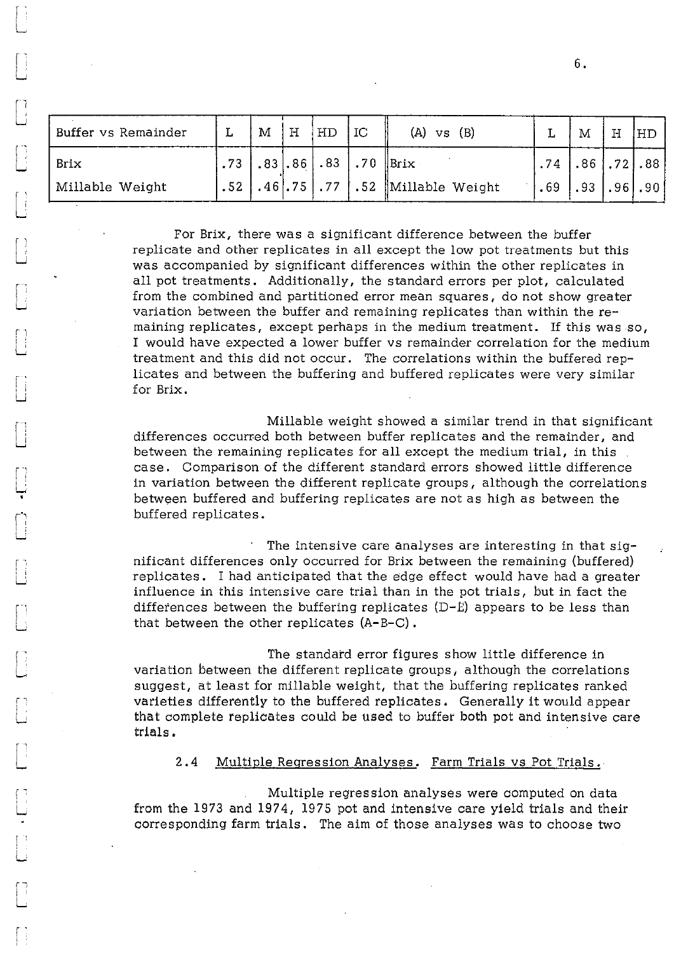| Buffer vs Remainder | M | H | HD | $\overline{\mathbf{C}}$ | $(A)$ vs $(B)$                          |                            | M                       | H | HD. |
|---------------------|---|---|----|-------------------------|-----------------------------------------|----------------------------|-------------------------|---|-----|
| Brix                |   |   |    |                         | $^!$ .73   .83   .86   .83   .70   Brix |                            | $.74$ $.86$ $.72$ $.88$ |   |     |
| Millable Weight     |   |   |    |                         | .52 .46 .75 .77 .52 Millable Weight     | $ .69$ $ .93$ $ .96$ $.90$ |                         |   |     |

r

ţ.

I ;

For Brix, there was a significant difference between the buffer replicate and other replicates in all except the low pot treatments but this was accompanied by significant differences within the other replicates in all pot treatments. Additionally, the standard errors per plot, calculated from the combined and partitioned error mean squares, do not show greater variation between the buffer and remaining replicates than within the remaining replicates, except perhaps in the medium treatment. If this was so, I would have expected a lower buffer vs remainder correlation for the medium treatment and this did not occur. The correlations within the buffered replicates and between the buffering and buffered replicates were very similar for Brix.

Millable weight showed a similar trend in that significant differences occurred both between buffer replicates and the remainder, and between the remaining replicates for all except the medium trial, in this case. Comparison of the different standard errors showed little difference in variation between the different replicate groups, although the correlations between buffered and buffering replicates are not as high as between the buffered replicates.

The intensive care analyses are interesting in that significant differences only occurred for Brix between the remaining (buffered) replicates. I had anticipated that the edge effect would have had a greater influence in this intensive care trial than in the pot trials, but in fact the differences between the buffering replicates  $(D-E)$  appears to be less than that between the other replicates (A-B-C).

The standard error figures show little difference in variation between the different replicate groups, although the correlations suggest, at least for millable weight, that the buffering replicates ranked varieties differently to the buffered replicates. Generally it would appear that complete replicates could be used to buffer both pot and intensive care trials.

## 2.4 Multiple Regression Analyses. Farm Trials vs Pot Trials.

Multiple regression analyses were computed on data from the 1973 and 1974, 1975 pot and intensive care yield trials and their corresponding farm trials. The aim of those analyses was to choose two

6.